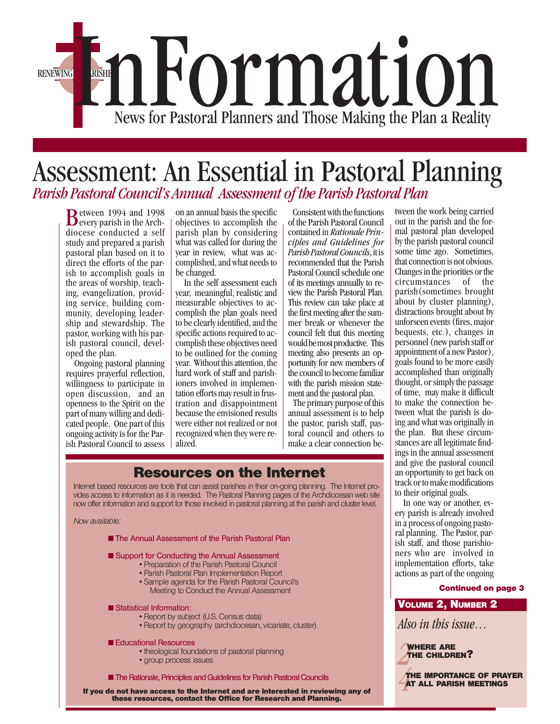

## *Parish Pastoral Council's Annual Assessment of the Parish Pastoral Plan* Assessment: An Essential in Pastoral Planning

**B** etween 1994 and 1998<br>every parish in the Archdiocese conducted a self study and prepared a parish pastoral plan based on it to direct the efforts of the parish to accomplish goals in the areas of worship, teaching, evangelization, providing service, building community, developing leadership and stewardship. The pastor, working with his parish pastoral council, developed the plan.

 Ongoing pastoral planning requires prayerful reflection, willingness to participate in open discussion, and an openness to the Spirit on the part of many willing and dedicated people. One part of this ongoing activity is for the Parish Pastoral Council to assess on an annual basis the specific objectives to accomplish the parish plan by considering what was called for during the year in review, what was accomplished, and what needs to be changed.

 In the self assessment each year, meaningful, realistic and measurable objectives to accomplish the plan goals need to be clearly identified, and the specific actions required to accomplish these objectives need to be outlined for the coming year. Without this attention, the hard work of staff and parishioners involved in implementation efforts may result in frustration and disappointment because the envisioned results were either not realized or not recognized when they were realized.

 Consistent with the functions of the Parish Pastoral Council contained in *Rationale Principles and Guidelines for Parish Pastoral Councils*, it is recommended that the Parish Pastoral Council schedule one of its meetings annually to review the Parish Pastoral Plan. This review can take place at the first meeting after the summer break or whenever the council felt that this meeting would be most productive. This meeting also presents an opportunity for new members of the council to become familiar with the parish mission statement and the pastoral plan.

 The primary purpose of this annual assessment is to help the pastor, parish staff, pastoral council and others to make a clear connection be-

## **Resources on the Internet**

Internet based resources are tools that can assist parishes in their on-going planning. The Internet provides access to information as it is needed. The Pastoral Planning pages of the Archdiocesan web site now offer information and support for those involved in pastoral planning at the parish and cluster level.

Now available:

- The Annual Assessment of the Parish Pastoral Plan
- Support for Conducting the Annual Assessment • Preparation of the Parish Pastoral Council
	- Parish Pastoral Plan Implementation Report
	- Sample agenda for the Parish Pastoral Council's
	- Meeting to Conduct the Annual Assessment
- Statistical Information:
	- Report by subject (U.S. Census data)
	- Report by geography (archdiocesan, vicariate, cluster)
- Educational Resources
	- theological foundations of pastoral planning
	- group process issues
- **The Rationale, Principles and Guidelines for Parish Pastoral Councils**

**If you do not have access to the Internet and are interested in reviewing any of these resources, contact the Office for Research and Planning.**

tween the work being carried out in the parish and the formal pastoral plan developed by the parish pastoral council some time ago. Sometimes, that connection is not obvious. Changes in the priorities or the circumstances of the parish(sometimes brought about by cluster planning), distractions brought about by unforseen events (fires, major bequests, etc.), changes in personnel (new parish staff or appointment of a new Pastor), goals found to be more easily accomplished than originally thought, or simply the passage of time, may make it difficult to make the connection between what the parish is doing and what was originally in the plan. But these circumstances are all legitimate findings in the annual assessment and give the pastoral council an opportunity to get back on track or to make modifications to their original goals.

 In one way or another, every parish is already involved in a process of ongoing pastoral planning. The Pastor, parish staff, and those parishioners who are involved in implementation efforts, take actions as part of the ongoing

#### **Continued on page 3**

### **VOLUME 2, NUMBER 2**

*Also in this issue…*

*2* **THE CHILDREN? WHERE ARE**

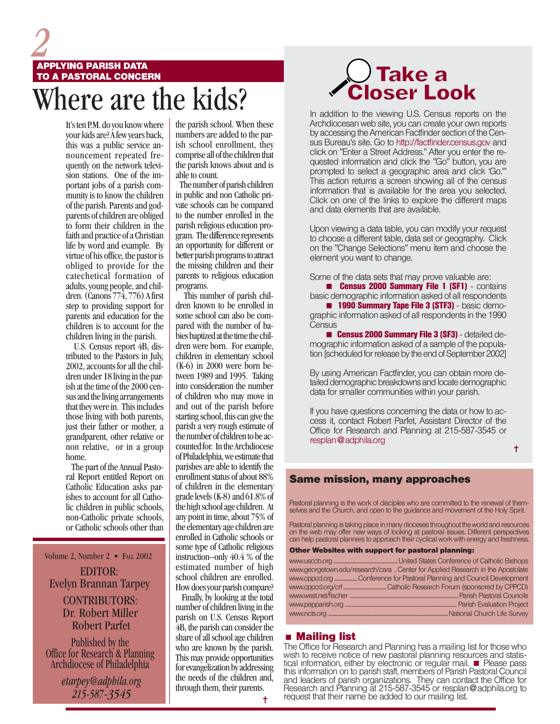# *2* here are the kids? **APPLYING PARISH DATA TO A PASTORAL CONCERN**

It's ten P.M. do you know where your kids are? A few years back, this was a public service announcement repeated frequently on the network television stations. One of the important jobs of a parish community is to know the children of the parish. Parents and godparents of children are obliged to form their children in the faith and practice of a Christian life by word and example. By virtue of his office, the pastor is obliged to provide for the catechetical formation of adults, young people, and children. (Canons  $77\overline{4}$ , 776) A first step to providing support for parents and education for the children is to account for the children living in the parish.

 U.S. Census report 4B, distributed to the Pastors in July, 2002, accounts for all the children under 18 living in the parish at the time of the 2000 census and the living arrangements that they were in. This includes those living with both parents, just their father or mother, a grandparent, other relative or non relative, or in a group home.

 The part of the Annual Pastoral Report entitled Report on Catholic Education asks parishes to account for all Catholic children in public schools, non-Catholic private schools, or Catholic schools other than

Volume 2, Number 2 • FALL 2002

EDITOR: Evelyn Brannan Tarpey

> Robert Parfet CONTRIBUTORS: Dr. Robert Miller

Published by the Office for Research & Planning Archdiocese of Philadelphia

> *etarpey@adphila.org 215-587-3545*

the parish school. When these numbers are added to the parish school enrollment, they comprise all of the children that the parish knows about and is able to count.

 The number of parish children in public and non Catholic private schools can be compared to the number enrolled in the parish religious education program. The difference represents an opportunity for different or better parish programs to attract the missing children and their parents to religious education programs.

 This number of parish children known to be enrolled in some school can also be compared with the number of babies baptized at the time the children were born. For example, children in elementary school (K-6) in 2000 were born between 1989 and 1995. Taking into consideration the number of children who may move in and out of the parish before starting school, this can give the parish a very rough estimate of the number of children to be accounted for. In the Archdiocese of Philadelphia, we estimate that parishes are able to identify the enrollment status of about 88% of children in the elementary grade levels (K-8) and 61.8% of the high school age children. At any point in time, about 75% of the elementary age children are enrolled in Catholic schools or some type of Catholic religious instruction--only 40.4 % of the estimated number of high school children are enrolled. How does your parish compare?

 Finally, by looking at the total number of children living in the parish on U.S. Census Report 4B, the parish can consider the share of all school age children who are known by the parish. This may provide opportunities for evangelization by addressing the needs of the children and, through them, their parents.

# $\bigcup$ Take a Closer Look

In addition to the viewing U.S. Census reports on the Archdiocesan web site, you can create your own reports by accessing the American Factfinder section of the Census Bureau's site. Go to http://factfinder.census.gov and click on "Enter a Street Address." After you enter the requested information and click the "Go" button, you are prompted to select a geographic area and click 'Go.'" This action returns a screen showing all of the census information that is available for the area you selected. Click on one of the links to explore the different maps and data elements that are available.

Upon viewing a data table, you can modify your request to choose a different table, data set or geography. Click on the "Change Selections" menu item and choose the element you want to change.

Some of the data sets that may prove valuable are:

**E Census 2000 Summary File 1 (SF1)** - contains basic demographic information asked of all respondents **1990 Summary Tape File 3 (STF3)** - basic demographic information asked of all respondents in the 1990 **Census** 

**E Census 2000 Summary File 3 (SF3)** - detailed demographic information asked of a sample of the population [scheduled for release by the end of September 2002]

By using American Factfinder, you can obtain more detailed demographic breakdowns and locate demographic data for smaller communities within your parish.

If you have questions concerning the data or how to access it, contact Robert Parfet, Assistant Director of the Office for Research and Planning at 215-587-3545 or resplan@adphila.org

✝

### **Same mission, many approaches**

Pastoral planning is the work of disciples who are committed to the renewal of themselves and the Church, and open to the guidance and movement of the Holy Spirit.

Pastoral planning is taking place in many dioceses throughout the world and resources on the web may offer new ways of looking at pastoral issues. Different perspectives can help pastoral planners to approach their cyclical work with energy and freshness.

**Other Websites with support for pastoral planning:**

| www.georgetown.edu/research/cara Center for Applied Research in the Apostolate |
|--------------------------------------------------------------------------------|
|                                                                                |
| www.cppcd.org Conference for Pastoral Planning and Council Development         |
|                                                                                |
|                                                                                |
|                                                                                |
|                                                                                |

### **Mailing list**

The Office for Research and Planning has a mailing list for those who wish to receive notice of new pastoral planning resources and statistical information, either by electronic or regular mail. **Please pass** this information on to parish staff, members of Parish Pastoral Council and leaders of parish organizations. They can contact the Office for Research and Planning at 215-587-3545 or resplan@adphila.org to request that their name be added to our mailing list.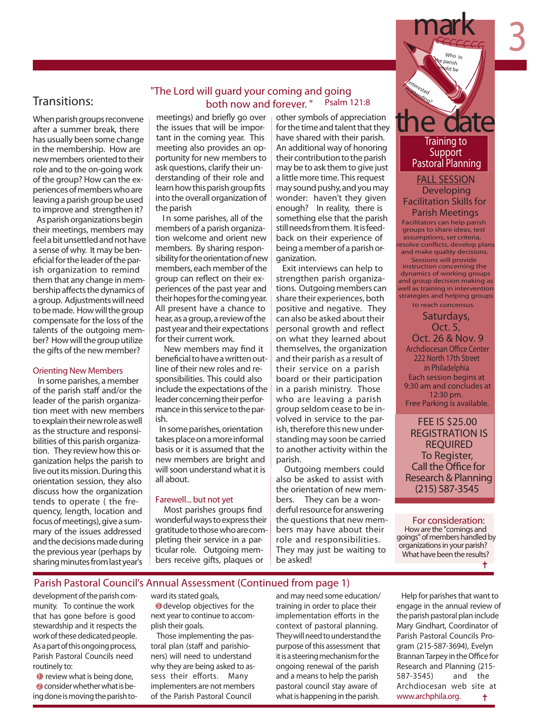

## Transitions:

When parish groups reconvene after a summer break, there has usually been some change in the membership. How are new members oriented to their role and to the on-going work of the group? How can the experiences of members who are leaving a parish group be used to improve and strengthen it?

As parish organizations begin their meetings, members may feel a bit unsettled and not have a sense of why. It may be beneficial for the leader of the parish organization to remind them that any change in membership affects the dynamics of a group. Adjustments will need to be made. How will the group compensate for the loss of the talents of the outgoing member? How will the group utilize the gifts of the new member?

#### *Orienting New Members*

 In some parishes, a member of the parish staff and/or the leader of the parish organization meet with new members to explain their new role as well as the structure and responsibilities of this parish organization. They review how this organization helps the parish to live out its mission. During this orientation session, they also discuss how the organization tends to operate ( the frequency, length, location and focus of meetings), give a summary of the issues addressed and the decisions made during the previous year (perhaps by sharing minutes from last year's

## *"The Lord will guard your coming and going both now and forever. " Psalm 121:8*

meetings) and briefly go over the issues that will be important in the coming year. This meeting also provides an opportunity for new members to ask questions, clarify their understanding of their role and learn how this parish group fits into the overall organization of the parish

 I n some parishes, all of the members of a parish organization welcome and orient new members. By sharing responsibility for the orientation of new members, each member of the group can reflect on their experiences of the past year and their hopes for the coming year. All present have a chance to hear,asagroup,areviewofthe past year and their expectations for their current work.

New members may find it beneficial to have a written outline of their new roles and responsibilities. This could also include the expectations of the leader concerning their performance in this service to the parish.

In some parishes, orientation takes place on a more informal basis or it is assumed that the new members are bright and will soon understand what it is all about.

#### *Farewell... but not yet*

Most parishes groups find wonderful ways to express their gratitude to those who are completing their service in a particular role. Outgoing members receive gifts, plaques or

other symbols of appreciation for the time and talent that they have shared with their parish. An additional way of honoring their contribution to the parish may be to ask them to give just a little more time. Thisrequest may sound pushy, and you may wonder: haven't they given enough? In reality, there is something else that the parish still needs from them. It is feedback on their experience of being a member of a parish organization.

Exit interviews can help to strengthen parish organizations. Outgoing members can share their experiences, both positive and negative. They can also be asked about their personal growth and reflect on what they learned about themselves, the organization and their parish as a result of their service on a parish board or their participation in a parish ministry. Those who are leaving a parish group seldom cease to be involved in service to the parish, therefore this new understanding may soon be carried to another activity within the parish.

 Outgoing members could also be asked to assist with the orientation of new members. They can be a wonderful resource for answering the questions that new members may have about their role and responsibilities. They may just be waiting to be asked!

## **Training to Support Pastoral Planning**

**FALL SESSION Developing Facilitation Skills for Parish Meetings**

Facilitators can help parish groups to share ideas, test assumptions, set criteria, esolve conflicts, develop plans and make quality decisions.

Sessions will provide instruction concerning the dynamics of working groups and group decision making as well as training in intervention strategies and helping groups to reach concensus.

**Saturdays, Oct. 5, Oct. 26 & Nov. 9 Archdiocesan Office Center 222 North 17th Street in Philadelphia Each session begins at 9:30 am and concludes at 12:30 pm. Free Parking is available.**

**FEE IS \$25.00 REGISTRATION IS REQUIRED Call the Office for Research & Planning (215) 587-3545**

*For consideration: Howare the "comings and goings" of members handled by organizations in your parish? What have been the results?* t

### *Parish Pastoral Council's Annual Assessment (Continued from page 1)*

development of the parish community. To continue the work that has gone before is good stewardship and it respects the work of these dedicated people. As a part of this ongoing process, Parish Pastoral Councils need routinely to:

**1** review what is being done, **2** consider whether what is being done is moving the parish toward its stated goals,

**3** develop objectives for the next year to continue to accomplish their goals.

 Those implementing the pastoral plan (staff and parishioners) will need to understand why they are being asked to assess their efforts. Many implementers are not members of the Parish Pastoral Council

and may need some education/ training in order to place their implementation efforts in the context of pastoral planning. They will need to understand the purpose of this assessment that it is a steering mechanism for the ongoing renewal of the parish and a means to help the parish pastoral council stay aware of what is happening in the parish.

Help for parishes that want to engage in the annual review of the parish pastoral plan include Mary Gindhart, Coordinator of Parish Pastoral Councils Program (215-587-3694), Evelyn Brannan Tarpey in the Office for Research and Planning (215- 587-3545) and the Archdiocesan web site at *www.archphila.org.* ŧ